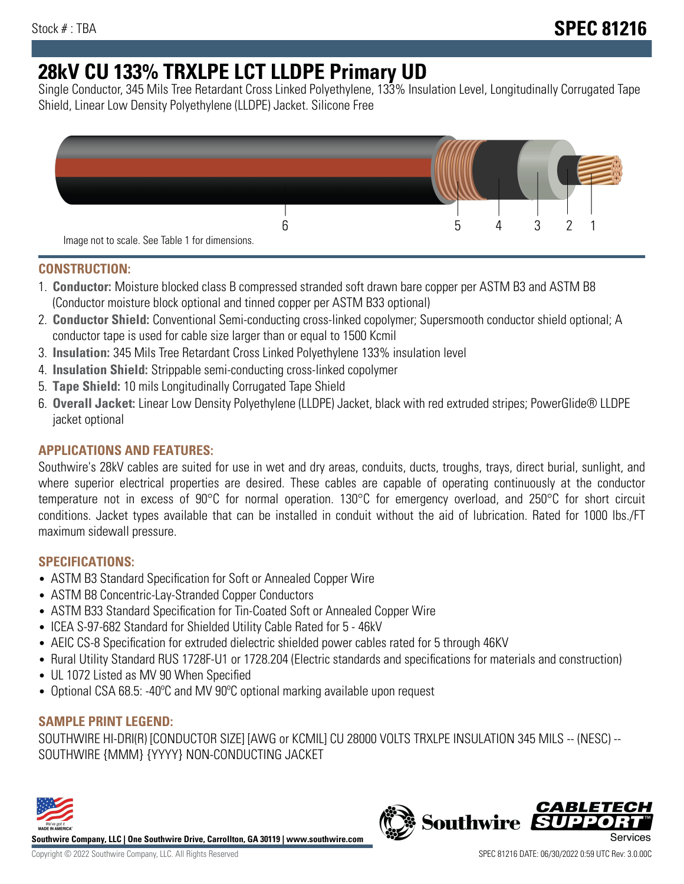# **28kV CU 133% TRXLPE LCT LLDPE Primary UD**

Single Conductor, 345 Mils Tree Retardant Cross Linked Polyethylene, 133% Insulation Level, Longitudinally Corrugated Tape Shield, Linear Low Density Polyethylene (LLDPE) Jacket. Silicone Free



## **CONSTRUCTION:**

- 1. **Conductor:** Moisture blocked class B compressed stranded soft drawn bare copper per ASTM B3 and ASTM B8 (Conductor moisture block optional and tinned copper per ASTM B33 optional)
- 2. **Conductor Shield:** Conventional Semi-conducting cross-linked copolymer; Supersmooth conductor shield optional; A conductor tape is used for cable size larger than or equal to 1500 Kcmil
- 3. **Insulation:** 345 Mils Tree Retardant Cross Linked Polyethylene 133% insulation level
- 4. **Insulation Shield:** Strippable semi-conducting cross-linked copolymer
- 5. **Tape Shield:** 10 mils Longitudinally Corrugated Tape Shield
- 6. **Overall Jacket:** Linear Low Density Polyethylene (LLDPE) Jacket, black with red extruded stripes; PowerGlide® LLDPE jacket optional

# **APPLICATIONS AND FEATURES:**

Southwire's 28kV cables are suited for use in wet and dry areas, conduits, ducts, troughs, trays, direct burial, sunlight, and where superior electrical properties are desired. These cables are capable of operating continuously at the conductor temperature not in excess of 90°C for normal operation. 130°C for emergency overload, and 250°C for short circuit conditions. Jacket types available that can be installed in conduit without the aid of lubrication. Rated for 1000 lbs./FT maximum sidewall pressure.

# **SPECIFICATIONS:**

- ASTM B3 Standard Specification for Soft or Annealed Copper Wire
- ASTM B8 Concentric-Lay-Stranded Copper Conductors
- ASTM B33 Standard Specification for Tin-Coated Soft or Annealed Copper Wire
- ICEA S-97-682 Standard for Shielded Utility Cable Rated for 5 46kV
- AEIC CS-8 Specification for extruded dielectric shielded power cables rated for 5 through 46KV
- Rural Utility Standard RUS 1728F-U1 or 1728.204 (Electric standards and specifications for materials and construction)
- UL 1072 Listed as MV 90 When Specified
- Optional CSA 68.5: -40°C and MV 90°C optional marking available upon request

# **SAMPLE PRINT LEGEND:**

SOUTHWIRE HI-DRI(R) [CONDUCTOR SIZE] [AWG or KCMIL] CU 28000 VOLTS TRXLPE INSULATION 345 MILS -- (NESC) -- SOUTHWIRE {MMM} {YYYY} NON-CONDUCTING JACKET



**Southwire Company, LLC | One Southwire Drive, Carrollton, GA 30119 | www.southwire.com**